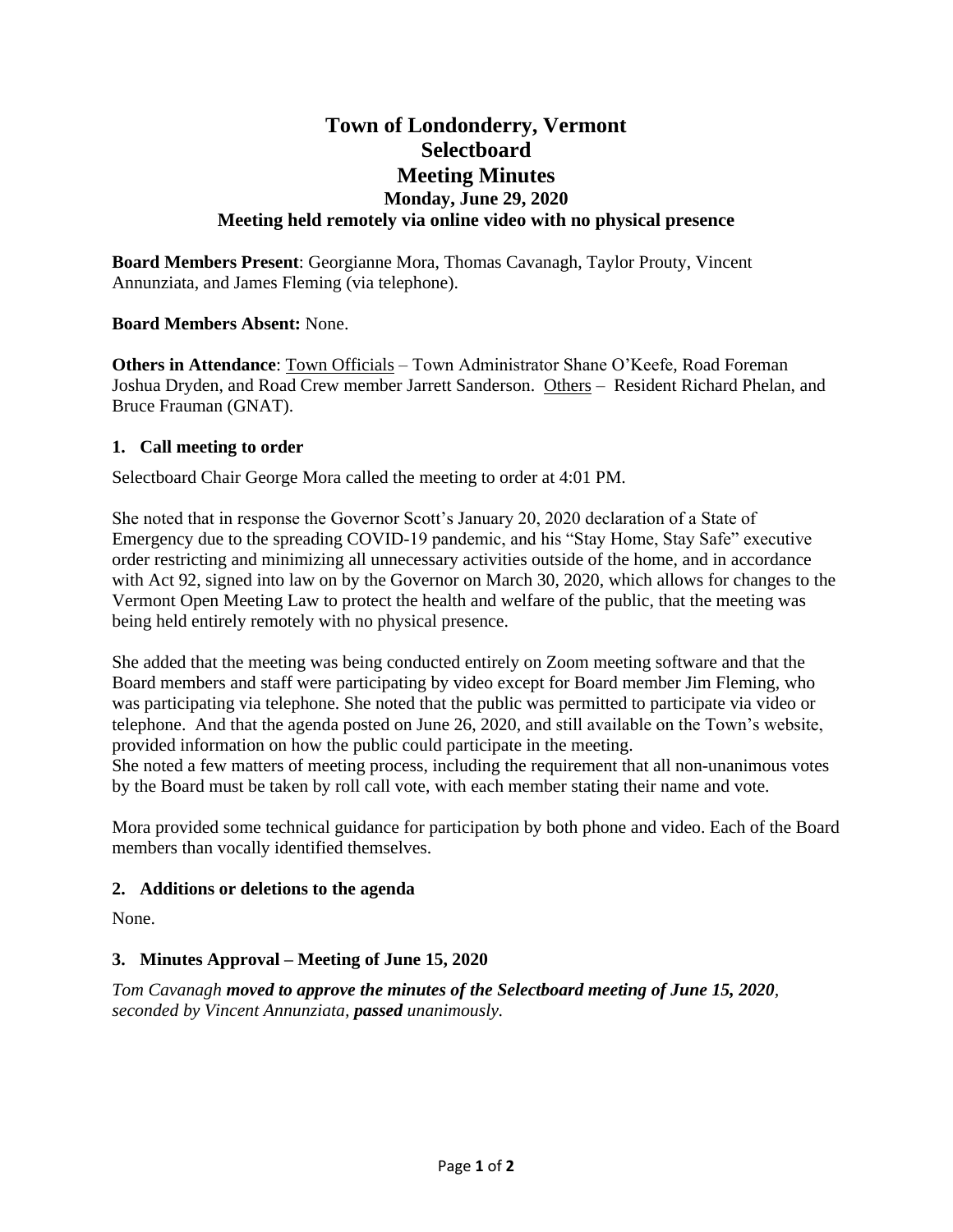# **Town of Londonderry, Vermont Selectboard Meeting Minutes Monday, June 29, 2020 Meeting held remotely via online video with no physical presence**

**Board Members Present**: Georgianne Mora, Thomas Cavanagh, Taylor Prouty, Vincent Annunziata, and James Fleming (via telephone).

# **Board Members Absent:** None.

**Others in Attendance**: Town Officials – Town Administrator Shane O'Keefe, Road Foreman Joshua Dryden, and Road Crew member Jarrett Sanderson. Others – Resident Richard Phelan, and Bruce Frauman (GNAT).

# **1. Call meeting to order**

Selectboard Chair George Mora called the meeting to order at 4:01 PM.

She noted that in response the Governor Scott's January 20, 2020 declaration of a State of Emergency due to the spreading COVID-19 pandemic, and his "Stay Home, Stay Safe" executive order restricting and minimizing all unnecessary activities outside of the home, and in accordance with Act 92, signed into law on by the Governor on March 30, 2020, which allows for changes to the Vermont Open Meeting Law to protect the health and welfare of the public, that the meeting was being held entirely remotely with no physical presence.

She added that the meeting was being conducted entirely on Zoom meeting software and that the Board members and staff were participating by video except for Board member Jim Fleming, who was participating via telephone. She noted that the public was permitted to participate via video or telephone. And that the agenda posted on June 26, 2020, and still available on the Town's website, provided information on how the public could participate in the meeting.

She noted a few matters of meeting process, including the requirement that all non-unanimous votes by the Board must be taken by roll call vote, with each member stating their name and vote.

Mora provided some technical guidance for participation by both phone and video. Each of the Board members than vocally identified themselves.

### **2. Additions or deletions to the agenda**

None.

# **3. Minutes Approval – Meeting of June 15, 2020**

*Tom Cavanagh moved to approve the minutes of the Selectboard meeting of June 15, 2020, seconded by Vincent Annunziata, passed unanimously.*